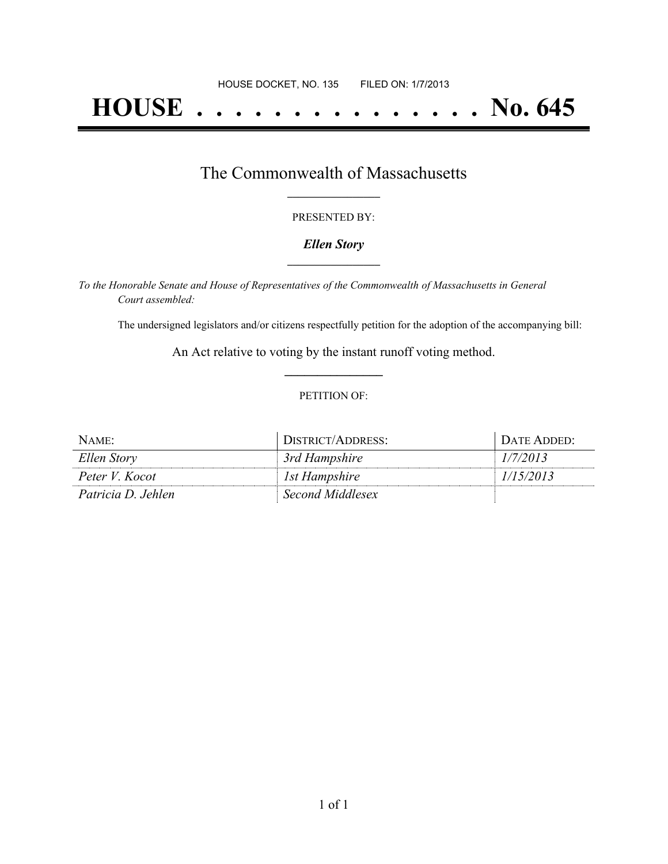# **HOUSE . . . . . . . . . . . . . . . No. 645**

### The Commonwealth of Massachusetts **\_\_\_\_\_\_\_\_\_\_\_\_\_\_\_\_\_**

#### PRESENTED BY:

#### *Ellen Story* **\_\_\_\_\_\_\_\_\_\_\_\_\_\_\_\_\_**

*To the Honorable Senate and House of Representatives of the Commonwealth of Massachusetts in General Court assembled:*

The undersigned legislators and/or citizens respectfully petition for the adoption of the accompanying bill:

An Act relative to voting by the instant runoff voting method. **\_\_\_\_\_\_\_\_\_\_\_\_\_\_\_**

#### PETITION OF:

| $NAME$ :           | DISTRICT/ADDRESS:        | DATE ADDED: |
|--------------------|--------------------------|-------------|
| Ellen Story        | <sup>3rd</sup> Hampshire | 1/7/2013    |
| Peter V. Kocot     | Ist Hampshire            | 1/15/2013   |
| Patricia D. Jehlen | Second Middlesex         |             |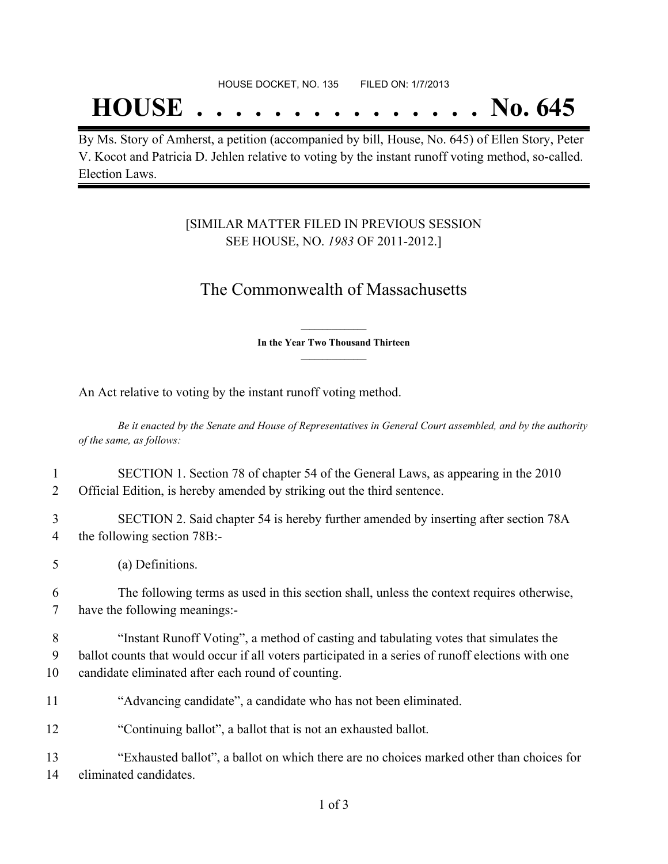## **HOUSE . . . . . . . . . . . . . . . No. 645**

By Ms. Story of Amherst, a petition (accompanied by bill, House, No. 645) of Ellen Story, Peter V. Kocot and Patricia D. Jehlen relative to voting by the instant runoff voting method, so-called. Election Laws.

### [SIMILAR MATTER FILED IN PREVIOUS SESSION SEE HOUSE, NO. *1983* OF 2011-2012.]

## The Commonwealth of Massachusetts

**\_\_\_\_\_\_\_\_\_\_\_\_\_\_\_ In the Year Two Thousand Thirteen \_\_\_\_\_\_\_\_\_\_\_\_\_\_\_**

An Act relative to voting by the instant runoff voting method.

Be it enacted by the Senate and House of Representatives in General Court assembled, and by the authority *of the same, as follows:*

| $\mathbf{1}$ | SECTION 1. Section 78 of chapter 54 of the General Laws, as appearing in the 2010                  |
|--------------|----------------------------------------------------------------------------------------------------|
| 2            | Official Edition, is hereby amended by striking out the third sentence.                            |
| 3            | SECTION 2. Said chapter 54 is hereby further amended by inserting after section 78A                |
| 4            | the following section 78B:-                                                                        |
| 5            | (a) Definitions.                                                                                   |
| 6            | The following terms as used in this section shall, unless the context requires otherwise,          |
| 7            | have the following meanings:-                                                                      |
| 8            | "Instant Runoff Voting", a method of casting and tabulating votes that simulates the               |
| 9            | ballot counts that would occur if all voters participated in a series of runoff elections with one |
| 10           | candidate eliminated after each round of counting.                                                 |
| 11           | "Advancing candidate", a candidate who has not been eliminated.                                    |
| 12           | "Continuing ballot", a ballot that is not an exhausted ballot.                                     |
| 13           | "Exhausted ballot", a ballot on which there are no choices marked other than choices for           |
| 14           | eliminated candidates.                                                                             |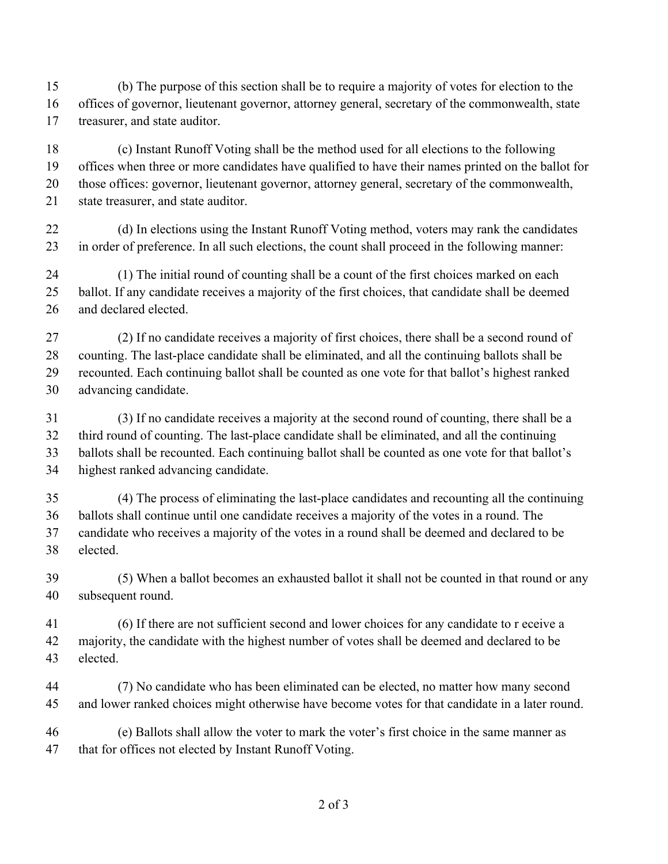(b) The purpose of this section shall be to require a majority of votes for election to the offices of governor, lieutenant governor, attorney general, secretary of the commonwealth, state treasurer, and state auditor.

 (c) Instant Runoff Voting shall be the method used for all elections to the following offices when three or more candidates have qualified to have their names printed on the ballot for those offices: governor, lieutenant governor, attorney general, secretary of the commonwealth, state treasurer, and state auditor.

22 (d) In elections using the Instant Runoff Voting method, voters may rank the candidates in order of preference. In all such elections, the count shall proceed in the following manner:

 (1) The initial round of counting shall be a count of the first choices marked on each ballot. If any candidate receives a majority of the first choices, that candidate shall be deemed and declared elected.

 (2) If no candidate receives a majority of first choices, there shall be a second round of counting. The last-place candidate shall be eliminated, and all the continuing ballots shall be recounted. Each continuing ballot shall be counted as one vote for that ballot's highest ranked advancing candidate.

 (3) If no candidate receives a majority at the second round of counting, there shall be a third round of counting. The last-place candidate shall be eliminated, and all the continuing ballots shall be recounted. Each continuing ballot shall be counted as one vote for that ballot's highest ranked advancing candidate.

 (4) The process of eliminating the last-place candidates and recounting all the continuing ballots shall continue until one candidate receives a majority of the votes in a round. The candidate who receives a majority of the votes in a round shall be deemed and declared to be elected.

 (5) When a ballot becomes an exhausted ballot it shall not be counted in that round or any subsequent round.

 (6) If there are not sufficient second and lower choices for any candidate to r eceive a 42 majority, the candidate with the highest number of votes shall be deemed and declared to be elected.

 (7) No candidate who has been eliminated can be elected, no matter how many second and lower ranked choices might otherwise have become votes for that candidate in a later round.

 (e) Ballots shall allow the voter to mark the voter's first choice in the same manner as that for offices not elected by Instant Runoff Voting.